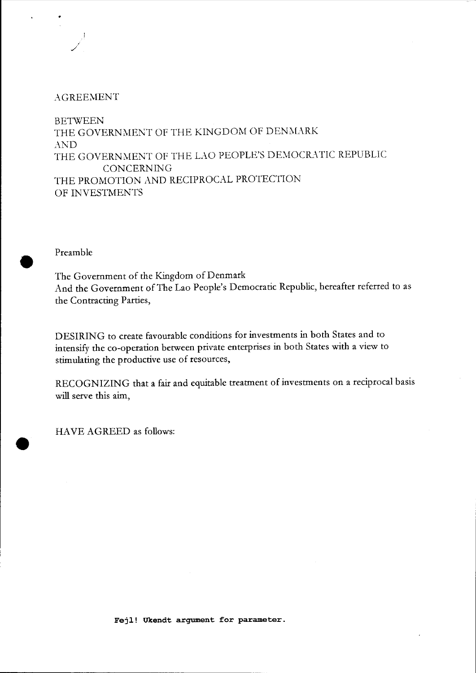## $AGREEMENT$

./

**BETWEEN** THE GOVERNMENT OF THE KINGDOM OF DENMARK AND THE GOVERNMENT OF THE LAO PEOPLE'S DEMOCRATIC REPUBLIC CONCERNING THE PROMOTION AND RECIPROCAL PROTECTION OF INVESTMENTS

Preamble

•

•

The Government of the Kingdom of Denmark And the Government of The Lao People's Democratic Republic, hereafter referred to as the Contracting Parries,

DESIRING to create favourable conditions for investments in both States and to intensify the co-operation between private enterprises in both States with a view to stimulating the productive use of resources,

RECOGNIZING that a fair and equitable treatment of investments on a reciprocal basis will serve this aim,

HAVE AGREED as follows: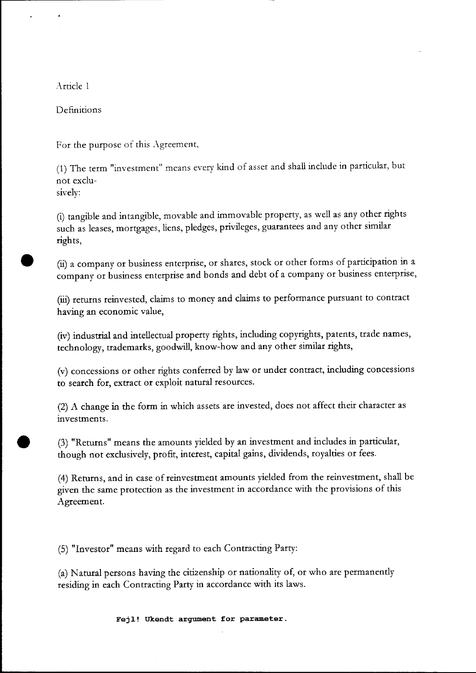Article 1

Definitions

For the purpose of this Agreement,

(1) The term "investment" means every kind of asset and shall include in particular, but not exclusively:

(i) tangible and intangible, movable and immovable property, as well as any other rights such as leases, mortgages, liens, pledges, privileges, guarantees and any other similar rights,

• (ii) a company or business enterprise, or shares, stock or other forms of participation in a company or business enterprise and bonds and debt of a company or business enterprise,

(iii) returns reinvested, claims to money and claims to performance pursuant to contract having an economic value,

(iv) industrial and intellectual property rights, including copyrights, patents, trade names, technology, trademarks, goodwill, know-how and any other similar rights,

(v) concessions or other rights conferred by law or under contract, including concessions to search for, extract or exploit natural resources.

(2) A change in the form in which assets are invested, does not affect their character as investments.

• (3) "Returns" means the amounts yielded by an investment and includes in particular, though not exclusively, profit, interest, capital gains, dividends, royalties or fees.

(4) Returns, and in case of reinvestment amounts yielded from the reinvestment, shall be given the same protection as the investment in accordance with the provisions of this Agreement.

(5) "Investor" means with regard to each Contracting Party:

(a) Natural persons having the citizenship or nationality of, or who are permanendy residing in each Contracting Party in accordance with its laws.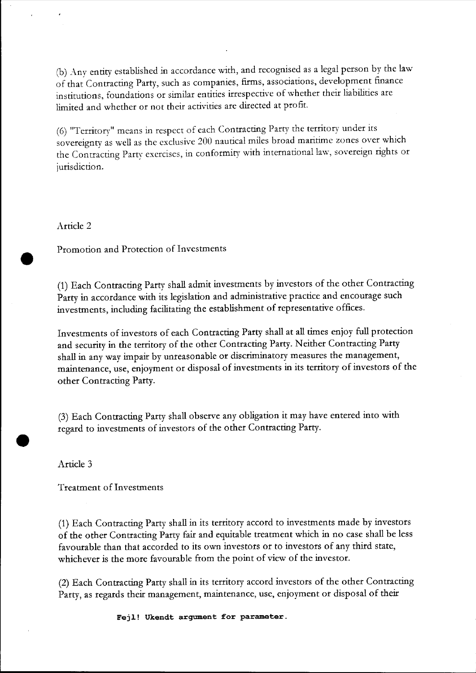(b) Any entity established in accordance with, and recognised as a legal person by the law of that Contracting Party, such as companies, firms, associations, development finance institutions, foundations or similar entities irrespective of whether their liabilities are limited and whether or not their activities are directed at profit.

(6) "Territory" means in respect of each Contracting Party the territory under its sovereignty as well as the exclusive 200 nautical miles broad maritime zones over which the Contracting Party exercises, in conformity with international law, sovereign rights or jurisdiction.

Article 2

•

•

Promotion and Protection of Investments

(1) Each Contracting Party shall admit investments by investors of the other Contracting Party in accordance with its legislation and administrative practice and encourage such investments, including facilitating the establishment of representative offices.

Investments of investors of each Contracting Party shall at all times enjoy full protection and security in the territory of the other Contracting Party. Neither Contracting Party shall in any way impair by unreasonable or discriminatory measures the management, maintenance, use, enjoyment or disposal of investments in its territory of investors of the other Contracting Party.

(3) Each Contracting Party shall observe any obligation it may have entered into with regard to investments of investors of the other Contracting Party .

Article 3

Treatment of Investments

(1) Each Contracting Party shall in its territory accord to investments made by investors of the other Contracting Party fair and equitable treatment which in no case shall be less favourable than that accorded to its own investors or to investors of any third state, whichever is the more favourable from the point of view of the investor.

(2) Each Contracting Party shall in its territory accord investors of the other Contracting Party, as regards their management, maintenance, use, enjoyment or disposal of their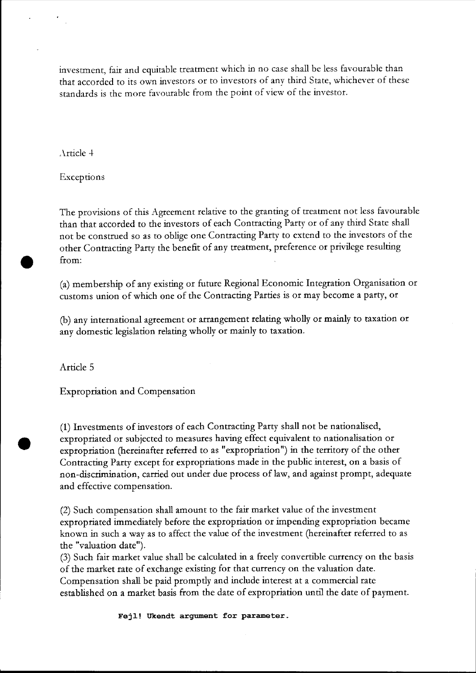investment, fair and equitable treatment which in no case shall be less favourable than that accorded to its own investors or to investors of any third State, whichever of these standards is the more favourable from the point of view of the investor.

"\rticle 4

Exceptions

The provisions of this Agreement relative to the granting of treatment not less favourable than that accorded to the investors of each Contracting Party or of any third State shall not be construed so as to oblige one Contracting Party to extend to the investors of the other Contracting Party the benefit of any treatment, preference or privilege resulting from:

(a) membership of any existing or future Regional Economic Integration Organisation or customs union of which one of the Contracting Parties is or may become a party, or

(b) any international agreement or arrangement relating wholly or mainly to taxation or any domestic legislation relating wholly or mainly to taxation.

Article 5

•

Expropriation and Compensation

(1) Investments of investors of each Contracting Party shall not be nationalised, expropriated or subjected to measures having effect equivalent to nationalisation or expropriation (hereinafter referred to as "expropriation") in the territory of the other Contracting Party except for expropriations made in the public interest, on a basis of non-discrimination, carried out under due process of law, and against prompt, adequate and effective compensation.

(2) Such compensation shall amount to the fair market value of the investment expropriated immediately before the expropriation or impending expropriation became known in such a way as to affect the value of the investment (hereinafter referred to as the "valuation date").

(3) Such fair market value shall be calculated in a freely convertible currency on the basis of the market rate of exchange existing for that currency on the valuation date. Compensation shall be paid promptly and include interest at a commercial rate established on a market basis from the date of expropriation until the date of payment.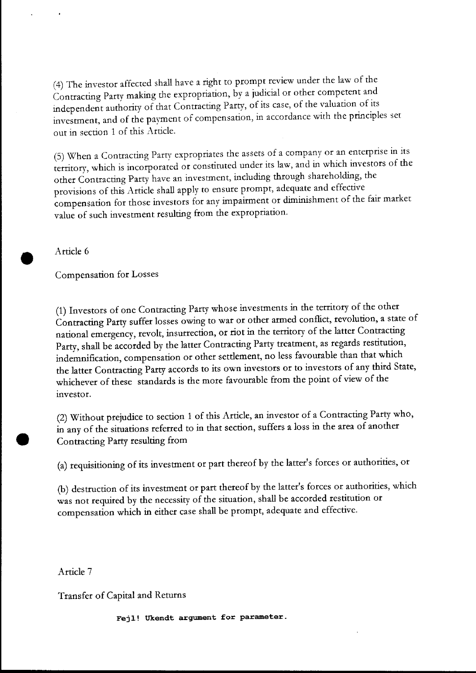(4) The investor affected shall have a right to prompt review under the law of the Contracting Party making the expropriation, by a judicial or other competent and independent authoriry of that Contracting Parry, of its case, of the valuation of its investment, and of the payment of compensation, in accordance with the principles set out in section 1 of this Article.

(5) When a Contracting Parry expropriates the assets of a company or an enterprise in its territory, which is incorporated or constituted under its law, and in which investors of the other Contracting Parry have an investment, including through shareholding, the provisions of this Article shall apply to ensure prompt, adequate and effective compensation for those investors for any impairment or diminishment of the fair market value of such investment resulting from the expropriation.

Article 6

•

•

Compensation for Losses

(1) Investors of one Contracting Party whose investments in the territory of the other Contracting Party suffer losses owing to war or other armed conflict, revolution, a state of national emergency, revolt, insurrection, or riot in the territory of the latter Contracting Party, shall be accorded by the latter Contracting Party treatment, as regards restitution, indemnification, compensation or other settlement, no less favourable than that which the latter Contracting Parry accords to its own investors or to investors of any third State, whichever of these standards is the more favourable from the point of view of the investor.

(2) Without prejudice to section 1 of this Article, an investor of a Contracting Party who, in any of the situations referred to in that section, suffers a loss in the area of another Contracting Party resulting from

(a) requisitioning of its investment or part thereof by the latter's forces or authorities, or

(b) destruction of its investment or part thereof by the latter's forces or authorities, which was not required by the necessity of the situation, shall be accorded restitution or compensation which in either case shall be prompt, adequate and effective.

Article 7

Transfer of Capital and Returns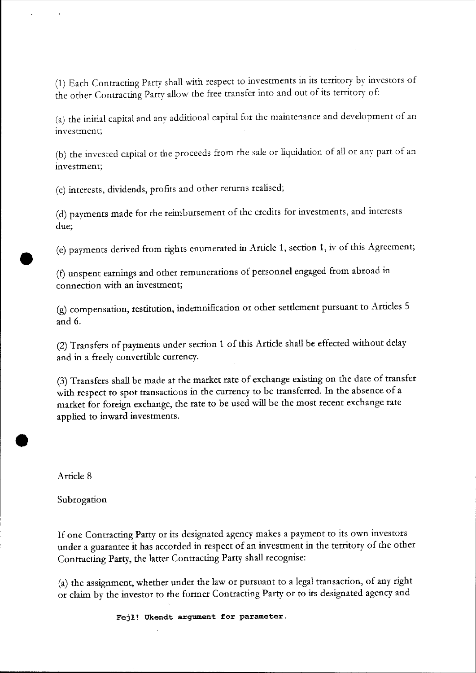(1) Each Contracting Party shall with respect to investments in its territory by investors of the other Contracting Party allow the free transfer into and out of its territory of:

(a) the initial capital and any additional capital for the maintenance and development of an investment;

(b) the invested capital or the proceeds from the sale or liquidation of all or any part of an investment;

(c) interests, dividends, profits and other returns realised;

(d) payments made for the reimbursement of the credits for investments, and interests due;

(e) payments derived from rights enumerated in Article 1, section 1, iv of this Agreement;

(f) unspent earnings and other remunerations of personnel engaged from abroad in connection with an investment;

(g) compensation, restitution, indemnification or other settlement pursuant to Articles 5 and 6.

(2) Transfers of payments under section 1 of this Article shall be effected without delay and in a freely convertible currency.

(3) Transfers shall be made at the market rate of exchange existing on the date of transfer with respect to spot transactions in the currency to be transferred. In the absence of a market for foreign exchange, the rate to be used will be the most recent exchange rate applied to inward investments.

Article 8

•

•

Subrogation

**If** one Contracting Party or its designated agency makes a payment to its own investors under a guarantee it has accorded in respect of an investment in the territory of the other Contracting Party, the latter Contracting Party shall recognise:

(a) the assignment, whether under the law or pursuant to a legal transaction, of any right or claim by the investor to the former Contracting Party or to its designated agency and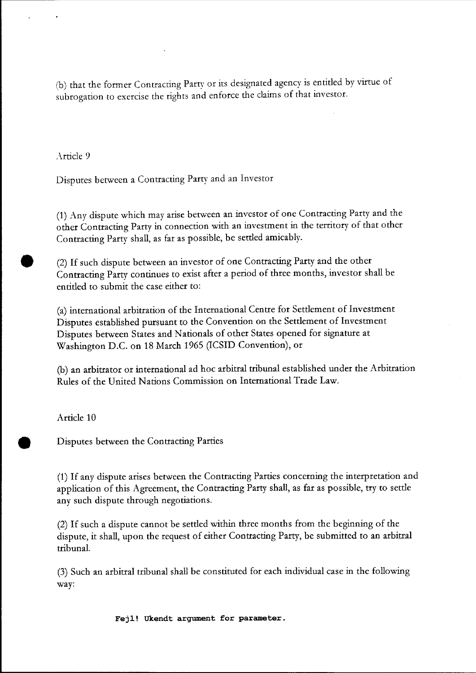(b) that the former Contracting Party or its designated agency is entitled by virtue of subrogation to exercise the rights and enforce the claims of that investor.

Arricle 9

Disputes between a Contracting Party and an Investor

(1) Any dispute which may arise between an investor of one Contracting Party and the other Contracting Party in connection with an investment in the territory of that other Contracting Party shall, as far as possible, be settled amicably.

• (2) If such dispute between an investor of one Contracting Party and the other Contracting Party continues to exist after a period of three months, investor shall be entitled to submit the case either to:

(a) international arbitration of the International Centre for Settlement of Investment Disputes established pursuant to the Convention on the Settlement of Investment Disputes between States and Nationals of other States opened for signature at Washington D.C. on 18 March 1965 (ICSID Convention), or

(b) an arbitrator or international ad hoc arbitral tribunal established under the Arbitration Rules of the United Nations Commission on International Trade Law.

Article 10

• Disputes between the Contracting Parties

(1) If any dispute arises between the Contracting Parties concerning the interpretation and application of this Agreement, the Contracting Party shall, as far as possible, try to settle any such dispute through negotiations.

(2) If such a dispute cannot be settled within three months from the beginning of the dispute, it shall, upon the request of either Contracting Party, be submitted to an arbitral tribunal.

(3) Such an arbitral tribunal shall be constituted for each individual case in the following way: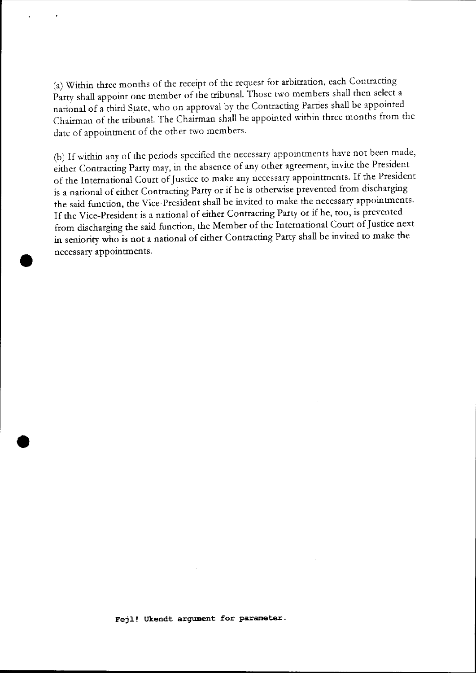(a) Within three months of the receipt of the request for arbitration, each Contracting Party shall appoint one member of the tribunal. Those two members shall then select a national of a third State, who on approval by the Contracting Parties shall be appointed Chairman of the tribunal. The Chairman shall be appointed within three months from the date of appointment of the other two members.

(b) If within any of the periods specified the necessary appointments have not been made, either Contracting Party may, in the absence of any other agreement, invite the President of the International Court of Justice to make any necessary appointments. If the President is a national of either Contracting Party or if he is otherwise prevented from discharging the said function, the Vice-President shall be invited to make the necessary appointments. If the Vice-President is a national of either Contracting Party or if he, too, is prevented from discharging the said function, the Member of the International Court of Justice next in seniority who is not a national of either Contracting Party shall be invited to make the necessary appointments.

•

•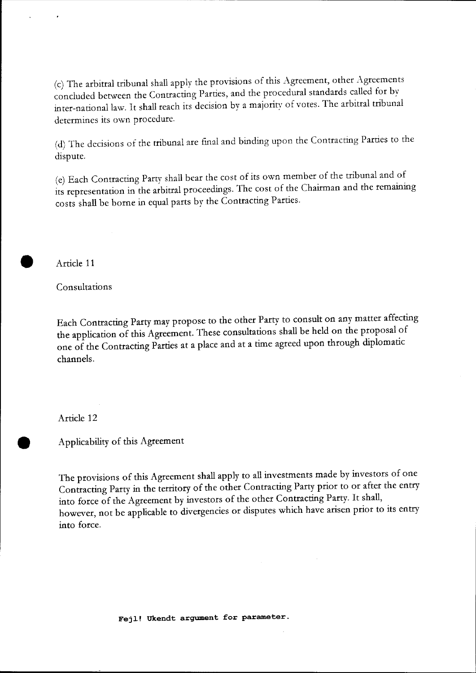(c) The arbitral tribunal shall apply the provisions of this Agreement, other Agreements concluded between the Contracting Parties, and the procedural standards called for by inter-national law. It shall reach its decision by a majority of votes. The arbitral tribunal determines its own procedure.

(d) The decisions of the tribunal are final and binding upon the Contracting Parties to the dispute.

(e) Each Contracting Party shall bear the cost of its own member of the tribunal and of its representation in the arbitral proceedings. The cost of the Chairman and the remaining costs shall be borne in equal parts by the Contracting Parties.

• Article 11

Consultations

Each Contracting Party may propose to the other Party to consult on any matter affecting the application of this Agreement. These consultations shall be held on the proposal of one of the Contracting Parties at a place and at a time agreed upon through diplomatic channels.

Article 12

• Applicability of this Agreement

The provisions of this Agreement shall apply to all investments made by investors of one Contracting Party in the territory of the other Contracting Party prior to or after the entry into force of the Agreement by investors of the other Contracting Party. It shall, however, not be applicable to divergencies or disputes which have arisen prior to its entry into force.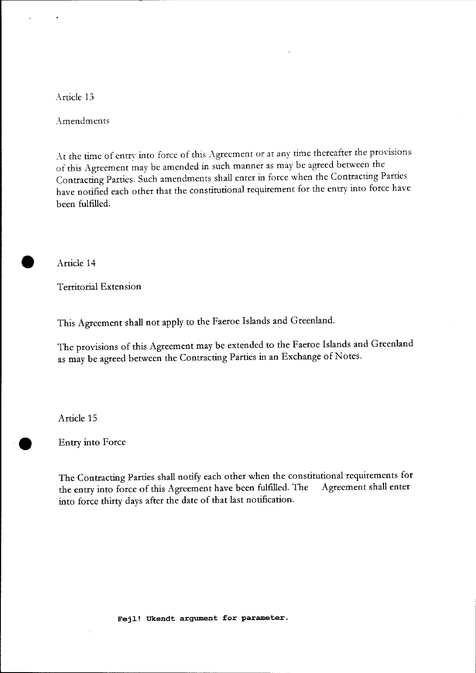Article 13

Amendments

At the time of entry into force of this Agreement or at any time thereafter the provisions of this Agreement may be amended in such manner as may be agreed between the Contracting Parties. Such amendments shall enter in force when the Contracting Parties have notified each other that the constitutional requirement for the entry into force have been fulfilled.

• Article 14

Territorial Extension

This Agreement shall not apply to the Faeroe Islands and Greenland.

The provisions of this Agreement may be extended to the Faeroe Islands and Greenland as may be agreed between the Contracting Parties in an Exchange of Notes.

Article 15

• Entry into Force

The Contracting Parties shall notify each other when the constitutional requirements for the entry into force of this Agreement have been fulfilled. The Agreement shall enter into force thirty days after the date of that last notification.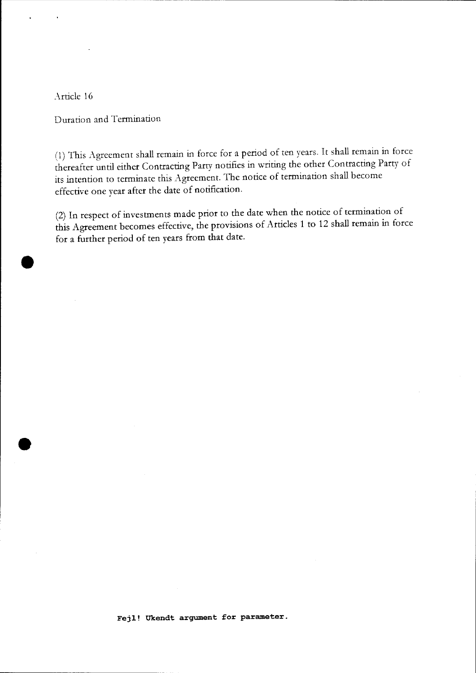Article 16

•

•

Duration and Termination

(1) This Agreement shall remain in force for a period of ten years. It shall remain in force thereafter until either Contracting Parry notifies in writing the other Contracting Parry of its intention to terminate this Agreement. The notice of termination shall become effective one year after the date of notification.

(2) In respect of investments made prior to the date when the notice of termination of this Agreement becomes effective, the provisions of Articles 1 to 12 shall remain in force for a further period of ten years from that date.